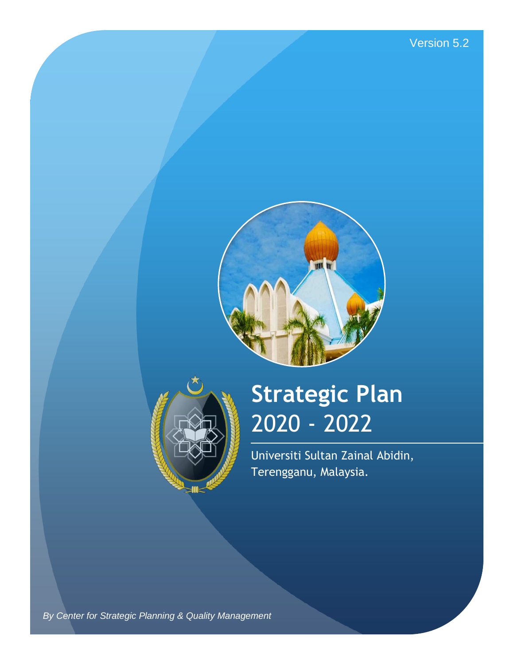



# **Strategic Plan** 2020 - 2022

Universiti Sultan Zainal Abidin, Terengganu, Malaysia.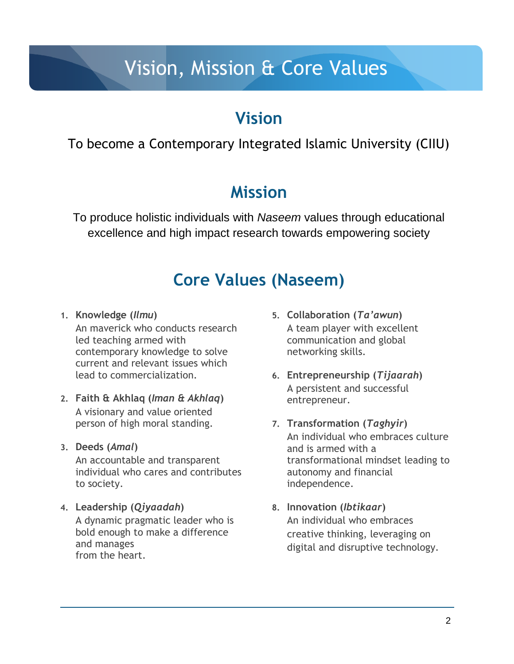## Vision, Mission & Core Values

## **Vision**

To become a Contemporary Integrated Islamic University (CIIU)

## **Mission**

To produce holistic individuals with *Naseem* values through educational excellence and high impact research towards empowering society

## **Core Values (Naseem)**

- **1. Knowledge (***Ilmu***)** An maverick who conducts research led teaching armed with contemporary knowledge to solve current and relevant issues which lead to commercialization.
- **2. Faith & Akhlaq (***Iman & Akhlaq***)** A visionary and value oriented person of high moral standing.
- **3. Deeds (***Amal***)**

An accountable and transparent individual who cares and contributes to society.

**4. Leadership (***Qiyaadah***)** A dynamic pragmatic leader who is bold enough to make a difference and manages from the heart.

- **5. Collaboration (***Ta'awun***)** A team player with excellent communication and global networking skills.
- **6. Entrepreneurship (***Tijaarah***)** A persistent and successful entrepreneur.
- **7. Transformation (***Taghyir***)** An individual who embraces culture and is armed with a transformational mindset leading to autonomy and financial independence.
- **8. Innovation (***Ibtikaar***)** An individual who embraces creative thinking, leveraging on digital and disruptive technology.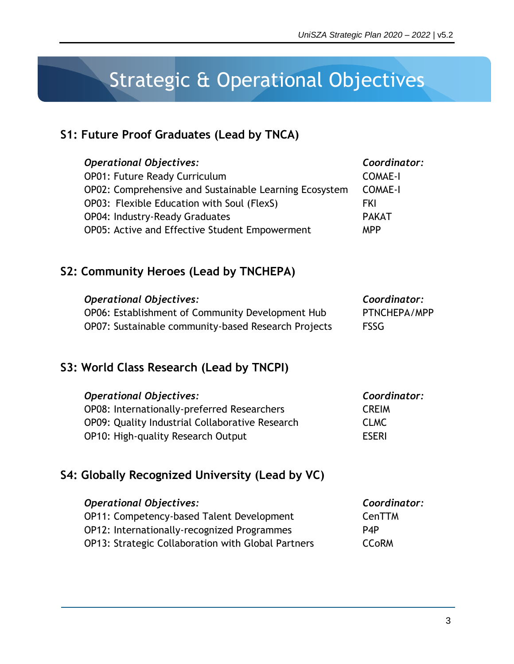## Strategic & Operational Objectives

#### **S1: Future Proof Graduates (Lead by TNCA)**

| <b>Operational Objectives:</b>                         | Coordinator:   |
|--------------------------------------------------------|----------------|
| <b>OP01: Future Ready Curriculum</b>                   | <b>COMAE-I</b> |
| OP02: Comprehensive and Sustainable Learning Ecosystem | <b>COMAE-I</b> |
| OP03: Flexible Education with Soul (FlexS)             | FKI            |
| <b>OP04: Industry-Ready Graduates</b>                  | <b>PAKAT</b>   |
| OP05: Active and Effective Student Empowerment         | <b>MPP</b>     |

#### **S2: Community Heroes (Lead by TNCHEPA)**

| <b>Operational Objectives:</b>                      | Coordinator: |
|-----------------------------------------------------|--------------|
| OP06: Establishment of Community Development Hub    | PTNCHEPA/MPP |
| OP07: Sustainable community-based Research Projects | <b>FSSG</b>  |

#### **S3: World Class Research (Lead by TNCPI)**

| <b>Operational Objectives:</b>                  | Coordinator: |
|-------------------------------------------------|--------------|
| OP08: Internationally-preferred Researchers     | <b>CREIM</b> |
| OP09: Quality Industrial Collaborative Research | <b>CLMC</b>  |
| OP10: High-quality Research Output              | <b>ESERI</b> |

#### **S4: Globally Recognized University (Lead by VC)**

| <b>Operational Objectives:</b>                            | Coordinator: |
|-----------------------------------------------------------|--------------|
| OP11: Competency-based Talent Development                 | CenTTM       |
| OP12: Internationally-recognized Programmes               | P4P          |
| <b>OP13: Strategic Collaboration with Global Partners</b> | <b>CCoRM</b> |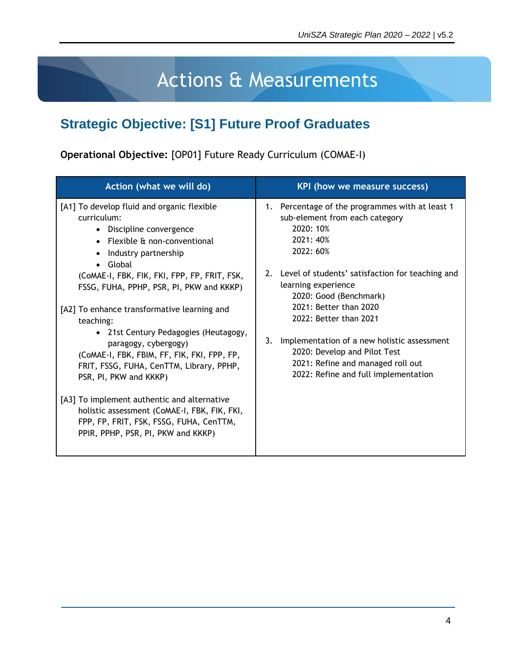## Actions & Measurements

## **Strategic Objective: [S1] Future Proof Graduates**

**Operational Objective:** [OP01] Future Ready Curriculum (COMAE-I)

| Action (what we will do)                                                                                                                                                                                                                                                                                                                                                                                                                                                                                                                                                                                                                                                               | <b>KPI</b> (how we measure success)                                                                                                                                                                                                                                                                                                                                                                                                                 |
|----------------------------------------------------------------------------------------------------------------------------------------------------------------------------------------------------------------------------------------------------------------------------------------------------------------------------------------------------------------------------------------------------------------------------------------------------------------------------------------------------------------------------------------------------------------------------------------------------------------------------------------------------------------------------------------|-----------------------------------------------------------------------------------------------------------------------------------------------------------------------------------------------------------------------------------------------------------------------------------------------------------------------------------------------------------------------------------------------------------------------------------------------------|
| [A1] To develop fluid and organic flexible<br>curriculum:<br>• Discipline convergence<br>• Flexible & non-conventional<br>Industry partnership<br>Global<br>(COMAE-I, FBK, FIK, FKI, FPP, FP, FRIT, FSK,<br>FSSG, FUHA, PPHP, PSR, PI, PKW and KKKP)<br>[A2] To enhance transformative learning and<br>teaching:<br>• 21st Century Pedagogies (Heutagogy,<br>paragogy, cybergogy)<br>(COMAE-I, FBK, FBIM, FF, FIK, FKI, FPP, FP,<br>FRIT, FSSG, FUHA, CenTTM, Library, PPHP,<br>PSR, PI, PKW and KKKP)<br>[A3] To implement authentic and alternative<br>holistic assessment (CoMAE-I, FBK, FIK, FKI,<br>FPP, FP, FRIT, FSK, FSSG, FUHA, CenTTM,<br>PPIR, PPHP, PSR, PI, PKW and KKKP) | 1. Percentage of the programmes with at least 1<br>sub-element from each category<br>2020: 10%<br>2021: 40%<br>2022: 60%<br>2. Level of students' satisfaction for teaching and<br>learning experience<br>2020: Good (Benchmark)<br>2021: Better than 2020<br>2022: Better than 2021<br>3. Implementation of a new holistic assessment<br>2020: Develop and Pilot Test<br>2021: Refine and managed roll out<br>2022: Refine and full implementation |
|                                                                                                                                                                                                                                                                                                                                                                                                                                                                                                                                                                                                                                                                                        |                                                                                                                                                                                                                                                                                                                                                                                                                                                     |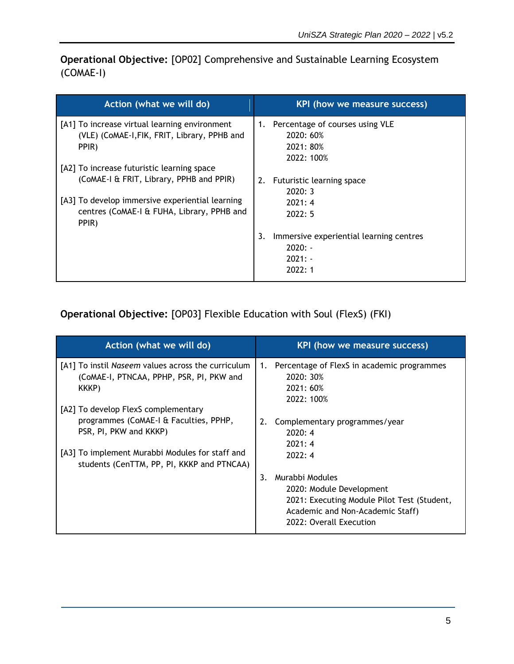**Operational Objective:** [OP02] Comprehensive and Sustainable Learning Ecosystem (COMAE-I)

| Action (what we will do)                                                                                                                                                                         | KPI (how we measure success)                                                      |
|--------------------------------------------------------------------------------------------------------------------------------------------------------------------------------------------------|-----------------------------------------------------------------------------------|
| [A1] To increase virtual learning environment<br>(VLE) (CoMAE-I, FIK, FRIT, Library, PPHB and<br>PPIR)                                                                                           | 1. Percentage of courses using VLE<br>2020:60%<br>2021: 80%<br>2022: 100%         |
| [A2] To increase futuristic learning space<br>(CoMAE-I & FRIT, Library, PPHB and PPIR)<br>[A3] To develop immersive experiential learning<br>centres (CoMAE-I & FUHA, Library, PPHB and<br>PPIR) | Futuristic learning space<br>2.<br>2020:3<br>2021:4<br>2022:5                     |
|                                                                                                                                                                                                  | Immersive experiential learning centres<br>3.<br>$2020: -$<br>$2021: -$<br>2022:1 |

#### **Operational Objective:** [OP03] Flexible Education with Soul (FlexS) (FKI)

| Action (what we will do)                                                                                                                                          | KPI (how we measure success)                                                                                                                                    |
|-------------------------------------------------------------------------------------------------------------------------------------------------------------------|-----------------------------------------------------------------------------------------------------------------------------------------------------------------|
| [A1] To instil Naseem values across the curriculum<br>(CoMAE-I, PTNCAA, PPHP, PSR, PI, PKW and<br>KKKP)                                                           | Percentage of FlexS in academic programmes<br>1.<br>2020: 30%<br>2021: 60%<br>2022: 100%                                                                        |
| [A2] To develop FlexS complementary                                                                                                                               |                                                                                                                                                                 |
| programmes (CoMAE-I & Faculties, PPHP,<br>PSR, PI, PKW and KKKP)<br>[A3] To implement Murabbi Modules for staff and<br>students (CenTTM, PP, PI, KKKP and PTNCAA) | Complementary programmes/year<br>2.<br>2020:4<br>2021:4<br>2022:4                                                                                               |
|                                                                                                                                                                   | Murabbi Modules<br>3.<br>2020: Module Development<br>2021: Executing Module Pilot Test (Student,<br>Academic and Non-Academic Staff)<br>2022: Overall Execution |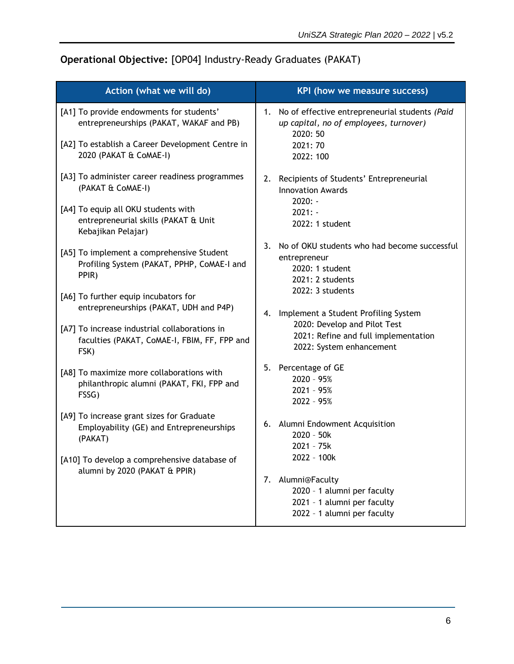#### **Operational Objective:** [OP04] Industry-Ready Graduates (PAKAT)

| Action (what we will do)                                                                                                                                                           | KPI (how we measure success)                                                                                                                                                                                |
|------------------------------------------------------------------------------------------------------------------------------------------------------------------------------------|-------------------------------------------------------------------------------------------------------------------------------------------------------------------------------------------------------------|
| [A1] To provide endowments for students'<br>entrepreneurships (PAKAT, WAKAF and PB)<br>[A2] To establish a Career Development Centre in<br>2020 (PAKAT & CoMAE-I)                  | No of effective entrepreneurial students (Paid<br>1.<br>up capital, no of employees, turnover)<br>2020: 50<br>2021: 70<br>2022: 100                                                                         |
| [A3] To administer career readiness programmes<br>(PAKAT & CoMAE-I)<br>[A4] To equip all OKU students with<br>entrepreneurial skills (PAKAT & Unit<br>Kebajikan Pelajar)           | Recipients of Students' Entrepreneurial<br>2.<br><b>Innovation Awards</b><br>$2020: -$<br>$2021: -$<br>2022: 1 student                                                                                      |
| [A5] To implement a comprehensive Student<br>Profiling System (PAKAT, PPHP, CoMAE-I and<br>PPIR)<br>[A6] To further equip incubators for<br>entrepreneurships (PAKAT, UDH and P4P) | 3.<br>No of OKU students who had become successful<br>entrepreneur<br>2020: 1 student<br>2021: 2 students<br>2022: 3 students<br>Implement a Student Profiling System<br>4.<br>2020: Develop and Pilot Test |
| [A7] To increase industrial collaborations in<br>faculties (PAKAT, CoMAE-I, FBIM, FF, FPP and<br>FSK)                                                                              | 2021: Refine and full implementation<br>2022: System enhancement                                                                                                                                            |
| [A8] To maximize more collaborations with<br>philanthropic alumni (PAKAT, FKI, FPP and<br>FSSG)                                                                                    | 5. Percentage of GE<br>2020 - 95%<br>2021 - 95%<br>2022 - 95%                                                                                                                                               |
| [A9] To increase grant sizes for Graduate<br>Employability (GE) and Entrepreneurships<br>(PAKAT)                                                                                   | 6. Alumni Endowment Acquisition<br>2020 - 50k<br>2021 - 75k                                                                                                                                                 |
| [A10] To develop a comprehensive database of<br>alumni by 2020 (PAKAT & PPIR)                                                                                                      | 2022 - 100k<br>Alumni@Faculty<br>7.<br>2020 - 1 alumni per faculty<br>2021 - 1 alumni per faculty<br>2022 - 1 alumni per faculty                                                                            |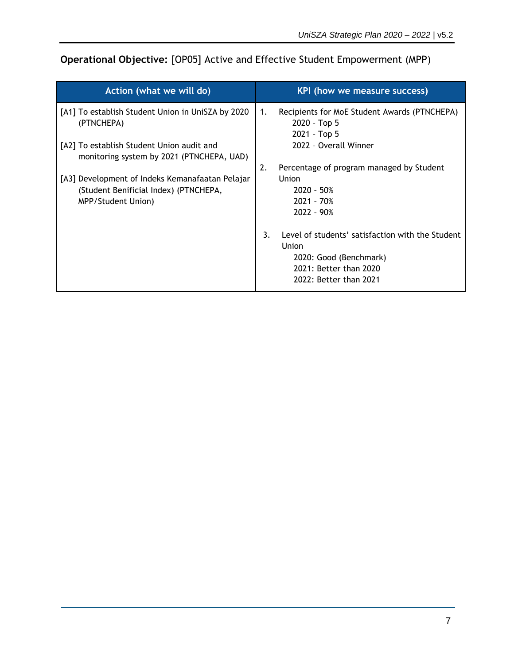#### **Operational Objective:** [OP05] Active and Effective Student Empowerment (MPP)

| Action (what we will do)                                                               |    | KPI (how we measure success)                                                  |
|----------------------------------------------------------------------------------------|----|-------------------------------------------------------------------------------|
| [A1] To establish Student Union in UniSZA by 2020<br>(PTNCHEPA)                        | 1. | Recipients for MoE Student Awards (PTNCHEPA)<br>$2020 - Top5$<br>2021 - Top 5 |
| [A2] To establish Student Union audit and<br>monitoring system by 2021 (PTNCHEPA, UAD) |    | 2022 - Overall Winner                                                         |
|                                                                                        | 2. | Percentage of program managed by Student                                      |
| [A3] Development of Indeks Kemanafaatan Pelajar                                        |    | Union                                                                         |
| (Student Benificial Index) (PTNCHEPA,                                                  |    | $2020 - 50%$                                                                  |
| <b>MPP/Student Union)</b>                                                              |    | $2021 - 70%$                                                                  |
|                                                                                        |    | $2022 - 90%$                                                                  |
|                                                                                        | 3. | Level of students' satisfaction with the Student                              |
|                                                                                        |    | Union                                                                         |
|                                                                                        |    | 2020: Good (Benchmark)                                                        |
|                                                                                        |    | 2021: Better than 2020                                                        |
|                                                                                        |    | 2022: Better than 2021                                                        |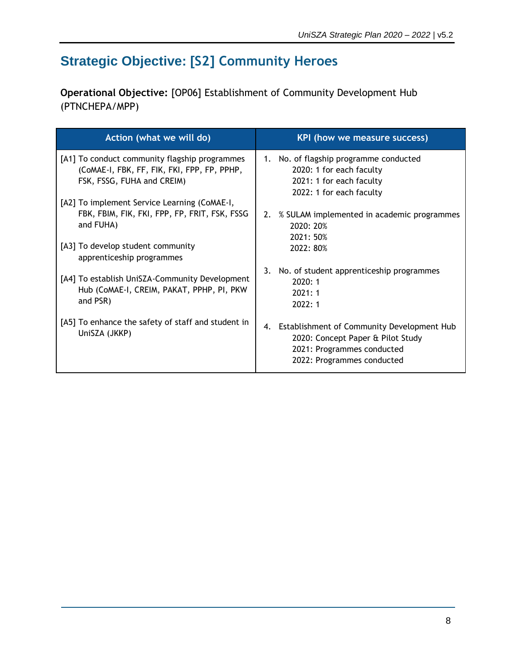## **Strategic Objective: [S2] Community Heroes**

**Operational Objective:** [OP06] Establishment of Community Development Hub (PTNCHEPA/MPP)

| Action (what we will do)                                                                                                                        | KPI (how we measure success)                                                                                                                   |
|-------------------------------------------------------------------------------------------------------------------------------------------------|------------------------------------------------------------------------------------------------------------------------------------------------|
| [A1] To conduct community flagship programmes<br>(COMAE-I, FBK, FF, FIK, FKI, FPP, FP, PPHP,<br>FSK, FSSG, FUHA and CREIM)                      | No. of flagship programme conducted<br>1.<br>2020: 1 for each faculty<br>2021: 1 for each faculty<br>2022: 1 for each faculty                  |
| [A2] To implement Service Learning (CoMAE-I,<br>FBK, FBIM, FIK, FKI, FPP, FP, FRIT, FSK, FSSG<br>and FUHA)<br>[A3] To develop student community | 2. % SULAM implemented in academic programmes<br>2020: 20%<br>2021: 50%<br>2022: 80%                                                           |
| apprenticeship programmes                                                                                                                       |                                                                                                                                                |
| [A4] To establish UniSZA-Community Development<br>Hub (CoMAE-I, CREIM, PAKAT, PPHP, PI, PKW<br>and PSR)                                         | No. of student apprenticeship programmes<br>3.<br>2020:1<br>2021:1<br>2022: 1                                                                  |
| [A5] To enhance the safety of staff and student in<br>UniSZA (JKKP)                                                                             | 4. Establishment of Community Development Hub<br>2020: Concept Paper & Pilot Study<br>2021: Programmes conducted<br>2022: Programmes conducted |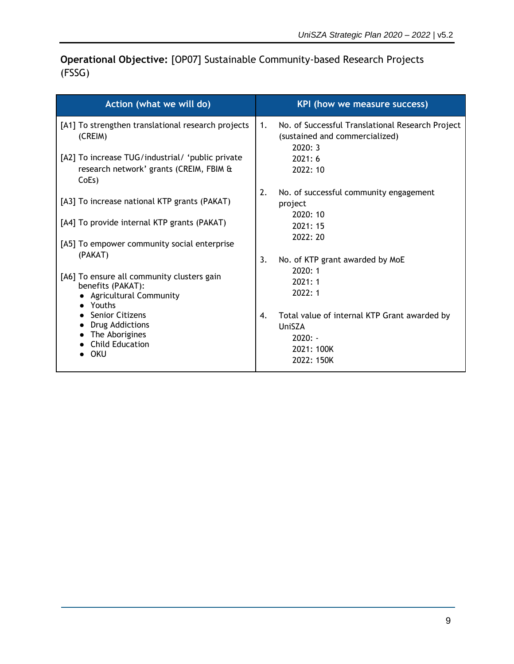#### **Operational Objective:** [OP07] Sustainable Community-based Research Projects (FSSG)

| Action (what we will do)                                                                                          | <b>KPI (how we measure success)</b>                                                                          |
|-------------------------------------------------------------------------------------------------------------------|--------------------------------------------------------------------------------------------------------------|
| [A1] To strengthen translational research projects<br>(CREIM)<br>[A2] To increase TUG/industrial/ 'public private | 1.<br>No. of Successful Translational Research Project<br>(sustained and commercialized)<br>2020:3<br>2021:6 |
| research network' grants (CREIM, FBIM &<br>CoEs)                                                                  | 2022:10                                                                                                      |
| [A3] To increase national KTP grants (PAKAT)                                                                      | 2.<br>No. of successful community engagement<br>project<br>2020:10                                           |
| [A4] To provide internal KTP grants (PAKAT)                                                                       | 2021:15<br>2022:20                                                                                           |
| [A5] To empower community social enterprise<br>(PAKAT)                                                            |                                                                                                              |
| [A6] To ensure all community clusters gain<br>benefits (PAKAT):<br><b>Agricultural Community</b><br>Youths        | 3.<br>No. of KTP grant awarded by MoE<br>2020:1<br>2021:1<br>2022:1                                          |
| <b>Senior Citizens</b><br><b>Drug Addictions</b><br>The Aborigines<br><b>Child Education</b><br>OKU               | Total value of internal KTP Grant awarded by<br>4.<br>UniSZA<br>$2020: -$<br>2021: 100K<br>2022: 150K        |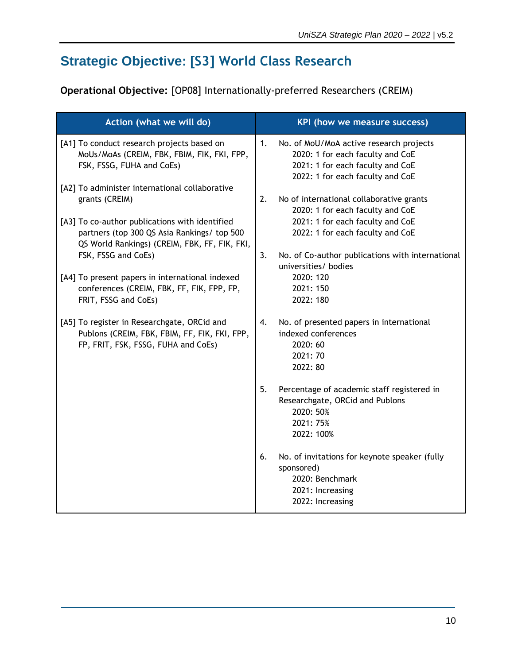## **Strategic Objective: [S3] World Class Research**

#### **Operational Objective:** [OP08] Internationally-preferred Researchers (CREIM)

| Action (what we will do)                                                                                                                                                 | <b>KPI</b> (how we measure success)                                                                                                                       |
|--------------------------------------------------------------------------------------------------------------------------------------------------------------------------|-----------------------------------------------------------------------------------------------------------------------------------------------------------|
| [A1] To conduct research projects based on<br>MoUs/MoAs (CREIM, FBK, FBIM, FIK, FKI, FPP,<br>FSK, FSSG, FUHA and CoEs)<br>[A2] To administer international collaborative | 1.<br>No. of MoU/MoA active research projects<br>2020: 1 for each faculty and CoE<br>2021: 1 for each faculty and CoE<br>2022: 1 for each faculty and CoE |
| grants (CREIM)                                                                                                                                                           | 2.<br>No of international collaborative grants<br>2020: 1 for each faculty and CoE                                                                        |
| [A3] To co-author publications with identified<br>partners (top 300 QS Asia Rankings/ top 500<br>QS World Rankings) (CREIM, FBK, FF, FIK, FKI,                           | 2021: 1 for each faculty and CoE<br>2022: 1 for each faculty and CoE                                                                                      |
| FSK, FSSG and CoEs)                                                                                                                                                      | 3.<br>No. of Co-author publications with international<br>universities/ bodies                                                                            |
| [A4] To present papers in international indexed<br>conferences (CREIM, FBK, FF, FIK, FPP, FP,<br>FRIT, FSSG and CoEs)                                                    | 2020: 120<br>2021: 150<br>2022: 180                                                                                                                       |
| [A5] To register in Researchgate, ORCid and<br>Publons (CREIM, FBK, FBIM, FF, FIK, FKI, FPP,<br>FP, FRIT, FSK, FSSG, FUHA and CoEs)                                      | No. of presented papers in international<br>4.<br>indexed conferences<br>2020: 60<br>2021: 70<br>2022: 80                                                 |
|                                                                                                                                                                          | 5.<br>Percentage of academic staff registered in<br>Researchgate, ORCid and Publons<br>2020: 50%<br>2021: 75%<br>2022: 100%                               |
|                                                                                                                                                                          | No. of invitations for keynote speaker (fully<br>6.<br>sponsored)<br>2020: Benchmark<br>2021: Increasing<br>2022: Increasing                              |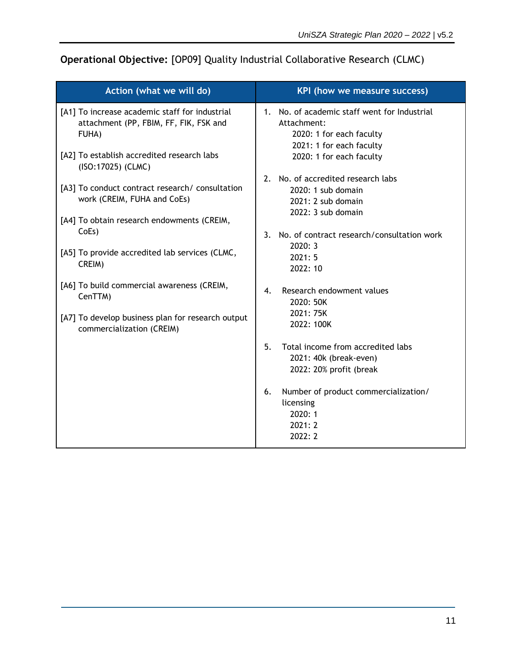#### **Operational Objective:** [OP09] Quality Industrial Collaborative Research (CLMC)

| Action (what we will do)                                                                                                    | KPI (how we measure success)                                                                                        |
|-----------------------------------------------------------------------------------------------------------------------------|---------------------------------------------------------------------------------------------------------------------|
| [A1] To increase academic staff for industrial<br>attachment (PP, FBIM, FF, FIK, FSK and<br>FUHA)                           | 1. No. of academic staff went for Industrial<br>Attachment:<br>2020: 1 for each faculty<br>2021: 1 for each faculty |
| [A2] To establish accredited research labs<br>(ISO:17025) (CLMC)                                                            | 2020: 1 for each faculty                                                                                            |
| [A3] To conduct contract research/consultation<br>work (CREIM, FUHA and CoEs)<br>[A4] To obtain research endowments (CREIM, | No. of accredited research labs<br>2 <sub>1</sub><br>2020: 1 sub domain<br>2021: 2 sub domain<br>2022: 3 sub domain |
| CoEs)<br>[A5] To provide accredited lab services (CLMC,<br>CREIM)                                                           | No. of contract research/consultation work<br>3.<br>2020: 3<br>2021:5                                               |
| [A6] To build commercial awareness (CREIM,<br>CenTTM)                                                                       | 2022: 10<br>Research endowment values<br>4.<br>2020: 50K                                                            |
| [A7] To develop business plan for research output<br>commercialization (CREIM)                                              | 2021: 75K<br>2022: 100K                                                                                             |
|                                                                                                                             | 5.<br>Total income from accredited labs<br>2021: 40k (break-even)<br>2022: 20% profit (break                        |
|                                                                                                                             | Number of product commercialization/<br>6.<br>licensing<br>2020:1<br>2021:2<br>2022:2                               |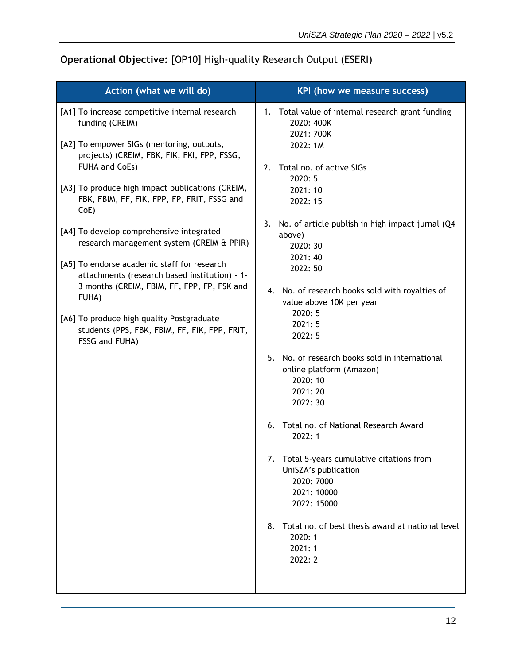#### **Operational Objective:** [OP10] High-quality Research Output (ESERI)

| Action (what we will do)                                                                                                                                                                                                                                                                                                                                                                                                                                                                                                                                                                                                                                       | KPI (how we measure success)                                                                                                                                                                                                                                                                                                                                                                                                                                                                                                                                                                                                                                                                                                                                               |
|----------------------------------------------------------------------------------------------------------------------------------------------------------------------------------------------------------------------------------------------------------------------------------------------------------------------------------------------------------------------------------------------------------------------------------------------------------------------------------------------------------------------------------------------------------------------------------------------------------------------------------------------------------------|----------------------------------------------------------------------------------------------------------------------------------------------------------------------------------------------------------------------------------------------------------------------------------------------------------------------------------------------------------------------------------------------------------------------------------------------------------------------------------------------------------------------------------------------------------------------------------------------------------------------------------------------------------------------------------------------------------------------------------------------------------------------------|
| [A1] To increase competitive internal research<br>funding (CREIM)<br>[A2] To empower SIGs (mentoring, outputs,<br>projects) (CREIM, FBK, FIK, FKI, FPP, FSSG,<br>FUHA and CoEs)<br>[A3] To produce high impact publications (CREIM,<br>FBK, FBIM, FF, FIK, FPP, FP, FRIT, FSSG and<br>$CoE$ )<br>[A4] To develop comprehensive integrated<br>research management system (CREIM & PPIR)<br>[A5] To endorse academic staff for research<br>attachments (research based institution) - 1-<br>3 months (CREIM, FBIM, FF, FPP, FP, FSK and<br>FUHA)<br>[A6] To produce high quality Postgraduate<br>students (PPS, FBK, FBIM, FF, FIK, FPP, FRIT,<br>FSSG and FUHA) | 1. Total value of internal research grant funding<br>2020: 400K<br>2021: 700K<br>2022: 1M<br>Total no. of active SIGs<br>2.<br>2020:5<br>2021: 10<br>2022: 15<br>3.<br>No. of article publish in high impact jurnal (Q4<br>above)<br>2020: 30<br>2021: 40<br>2022: 50<br>4. No. of research books sold with royalties of<br>value above 10K per year<br>2020:5<br>2021:5<br>2022: 5<br>5. No. of research books sold in international<br>online platform (Amazon)<br>2020: 10<br>2021: 20<br>2022: 30<br>Total no. of National Research Award<br>6.<br>2022: 1<br>7. Total 5-years cumulative citations from<br>UniSZA's publication<br>2020: 7000<br>2021: 10000<br>2022: 15000<br>Total no, of best thesis award at national level<br>8.<br>2020: 1<br>2021:1<br>2022: 2 |
|                                                                                                                                                                                                                                                                                                                                                                                                                                                                                                                                                                                                                                                                |                                                                                                                                                                                                                                                                                                                                                                                                                                                                                                                                                                                                                                                                                                                                                                            |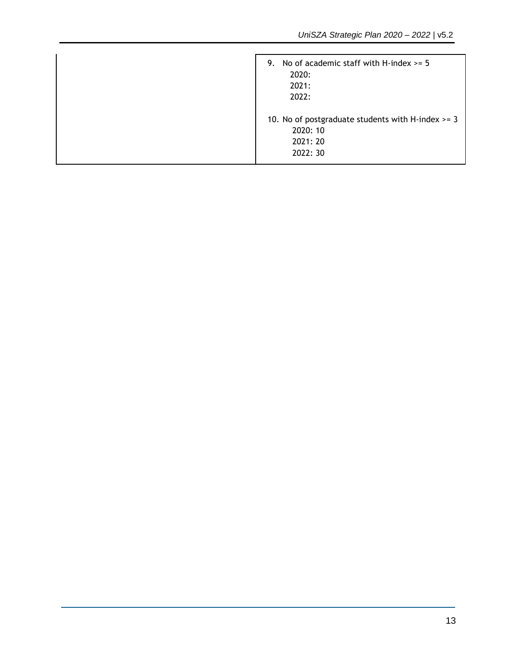| 9. No of academic staff with H-index $> = 5$<br>2020:<br>2021:<br>2022:                 |
|-----------------------------------------------------------------------------------------|
| 10. No of postgraduate students with H-index $>=$ 3<br>2020: 10<br>2021: 20<br>2022: 30 |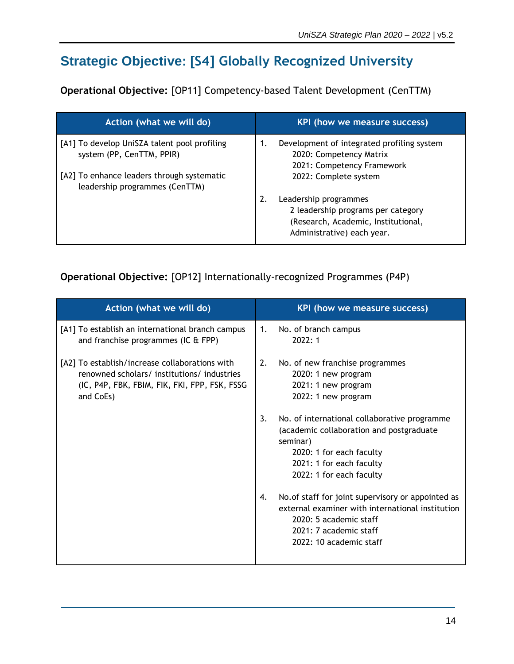### **Strategic Objective: [S4] Globally Recognized University**

**Operational Objective:** [OP11] Competency-based Talent Development (CenTTM)

| Action (what we will do)                                                     | KPI (how we measure success)                                                                        |
|------------------------------------------------------------------------------|-----------------------------------------------------------------------------------------------------|
| [A1] To develop UniSZA talent pool profiling<br>system (PP, CenTTM, PPIR)    | Development of integrated profiling system<br>2020: Competency Matrix<br>2021: Competency Framework |
| [A2] To enhance leaders through systematic<br>leadership programmes (CenTTM) | 2022: Complete system                                                                               |
|                                                                              | Leadership programmes<br>2.                                                                         |
|                                                                              | 2 leadership programs per category                                                                  |
|                                                                              | (Research, Academic, Institutional,<br>Administrative) each year.                                   |

#### **Operational Objective:** [OP12] Internationally-recognized Programmes (P4P)

| Action (what we will do)                                                                                                                                    | KPI (how we measure success)                                                                                                                                                                   |
|-------------------------------------------------------------------------------------------------------------------------------------------------------------|------------------------------------------------------------------------------------------------------------------------------------------------------------------------------------------------|
| [A1] To establish an international branch campus<br>and franchise programmes (IC $\&$ FPP)                                                                  | No. of branch campus<br>1.<br>2022:1                                                                                                                                                           |
| [A2] To establish/increase collaborations with<br>renowned scholars/ institutions/ industries<br>(IC, P4P, FBK, FBIM, FIK, FKI, FPP, FSK, FSSG<br>and CoEs) | 2.<br>No. of new franchise programmes<br>2020: 1 new program<br>2021: 1 new program<br>2022: 1 new program                                                                                     |
|                                                                                                                                                             | No. of international collaborative programme<br>3.<br>(academic collaboration and postgraduate<br>seminar)<br>2020: 1 for each faculty<br>2021: 1 for each faculty<br>2022: 1 for each faculty |
|                                                                                                                                                             | No.of staff for joint supervisory or appointed as<br>4.<br>external examiner with international institution<br>2020: 5 academic staff<br>2021: 7 academic staff<br>2022: 10 academic staff     |